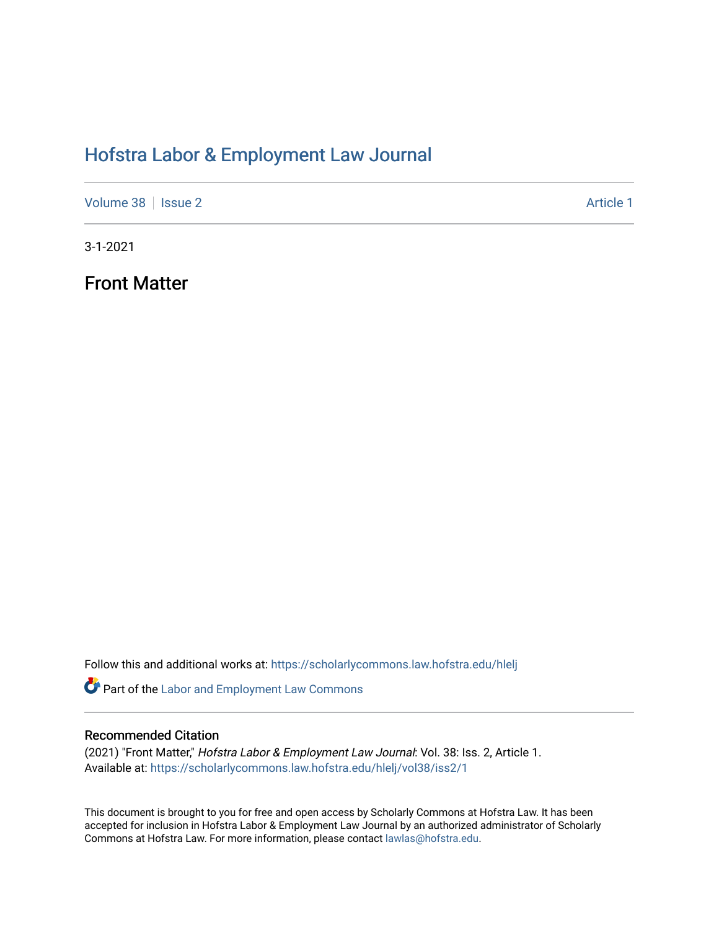## [Hofstra Labor & Employment Law Journal](https://scholarlycommons.law.hofstra.edu/hlelj)

[Volume 38](https://scholarlycommons.law.hofstra.edu/hlelj/vol38) | [Issue 2](https://scholarlycommons.law.hofstra.edu/hlelj/vol38/iss2) Article 1

3-1-2021

Front Matter

Follow this and additional works at: [https://scholarlycommons.law.hofstra.edu/hlelj](https://scholarlycommons.law.hofstra.edu/hlelj?utm_source=scholarlycommons.law.hofstra.edu%2Fhlelj%2Fvol38%2Fiss2%2F1&utm_medium=PDF&utm_campaign=PDFCoverPages)

Part of the [Labor and Employment Law Commons](https://network.bepress.com/hgg/discipline/909?utm_source=scholarlycommons.law.hofstra.edu%2Fhlelj%2Fvol38%2Fiss2%2F1&utm_medium=PDF&utm_campaign=PDFCoverPages)

### Recommended Citation

(2021) "Front Matter," Hofstra Labor & Employment Law Journal: Vol. 38: Iss. 2, Article 1. Available at: [https://scholarlycommons.law.hofstra.edu/hlelj/vol38/iss2/1](https://scholarlycommons.law.hofstra.edu/hlelj/vol38/iss2/1?utm_source=scholarlycommons.law.hofstra.edu%2Fhlelj%2Fvol38%2Fiss2%2F1&utm_medium=PDF&utm_campaign=PDFCoverPages) 

This document is brought to you for free and open access by Scholarly Commons at Hofstra Law. It has been accepted for inclusion in Hofstra Labor & Employment Law Journal by an authorized administrator of Scholarly Commons at Hofstra Law. For more information, please contact [lawlas@hofstra.edu.](mailto:lawlas@hofstra.edu)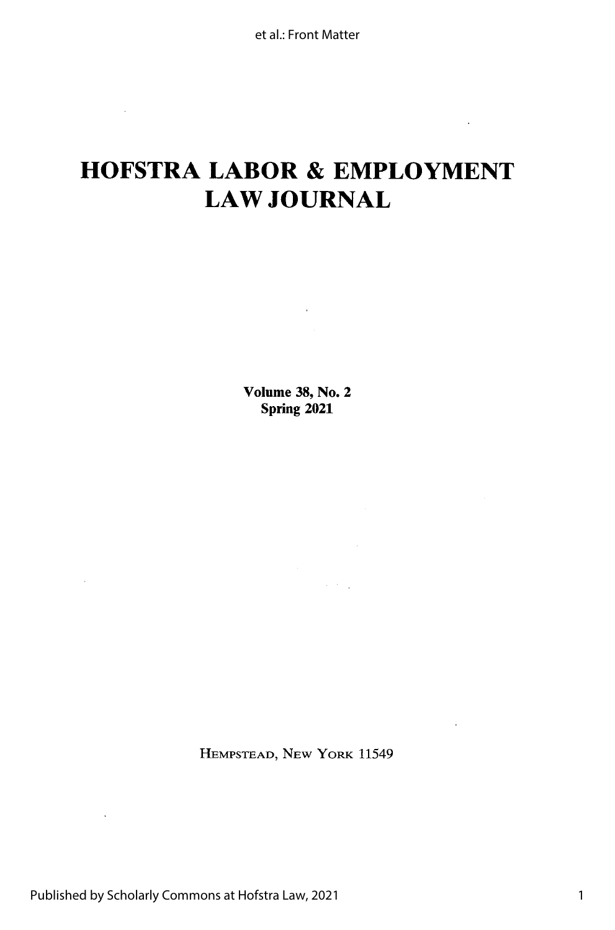$\sim 10^{-10}$ 

## **HOFSTRA LABOR & EMPLOYMENT LAW JOURNAL**

**Volume 38, No. 2 Spring 2021**

 $\sim 10^{-10}$ 

HEMPSTEAD, NEW YORK 11549

 $\mathcal{L}^{\text{max}}_{\text{max}}$  , where  $\mathcal{L}^{\text{max}}_{\text{max}}$ 

Published by Scholarly Commons at Hofstra Law, 2021

 $\sim$ 

 $\mathbb{R}^2$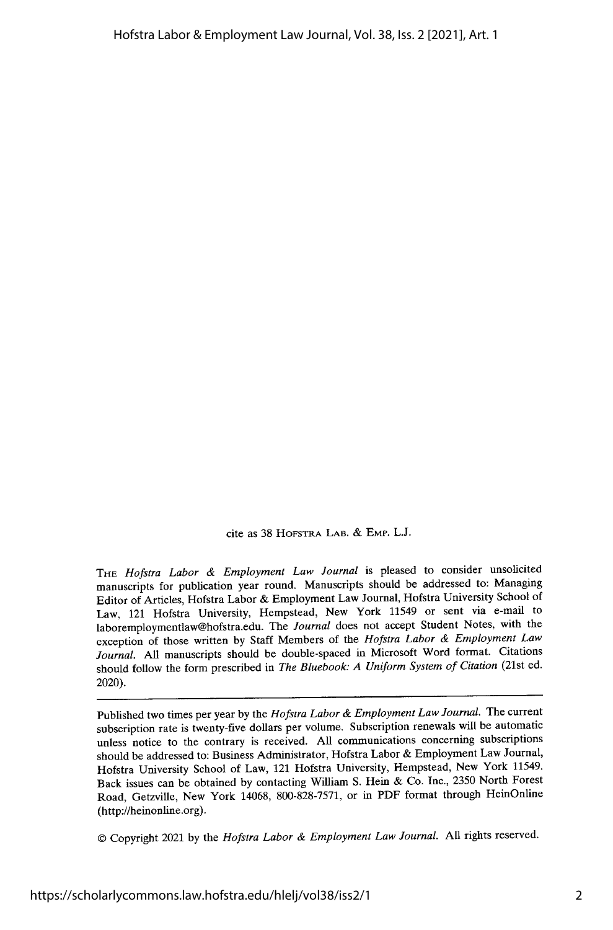**cite as 38 HOFSTRA LAB.** & EMP. L.J.

THE *Hofstra Labor & Employment Law Journal* **is pleased to consider unsolicited manuscripts for publication year round. Manuscripts should be addressed to: Managing Editor of Articles, Hofstra Labor** & **Employment Law Journal, Hofstra University School of Law, 121 Hofstra University, Hempstead, New York 11549 or sent via** e-mail **to laboremploymentlaw@hofstra.edu. The** *Journal* **does not accept Student Notes, with the exception of those written by Staff Members of the** *Hofstra Labor & Employment Law Journal.* **All manuscripts should be double-spaced in Microsoft Word format. Citations should follow the form prescribed in** *The Bluebook: A Uniform System of Citation* **(21st ed. 2020).**

**Published two times per year by the** *Hofstra Labor & Employment Law Journal.* **The current subscription rate is twenty-five dollars per volume. Subscription renewals will be automatic unless notice to the contrary is received. All communications concerning subscriptions should be addressed to: Business Administrator, Hofstra Labor** & **Employment Law Journal, Hofstra University School of Law, 121 Hofstra University, Hempstead, New York 11549. Back issues can be obtained by contacting William S. Hein & Co. Inc., 2350 North Forest Road, Getzville,** New York **14068, 800-828-7571, or in PDF format through HeinOnline (http://heinonline.org).**

*©* **Copyright 2021 by the** *Hofstra Labor & Employment Law Journal.* **All rights reserved.**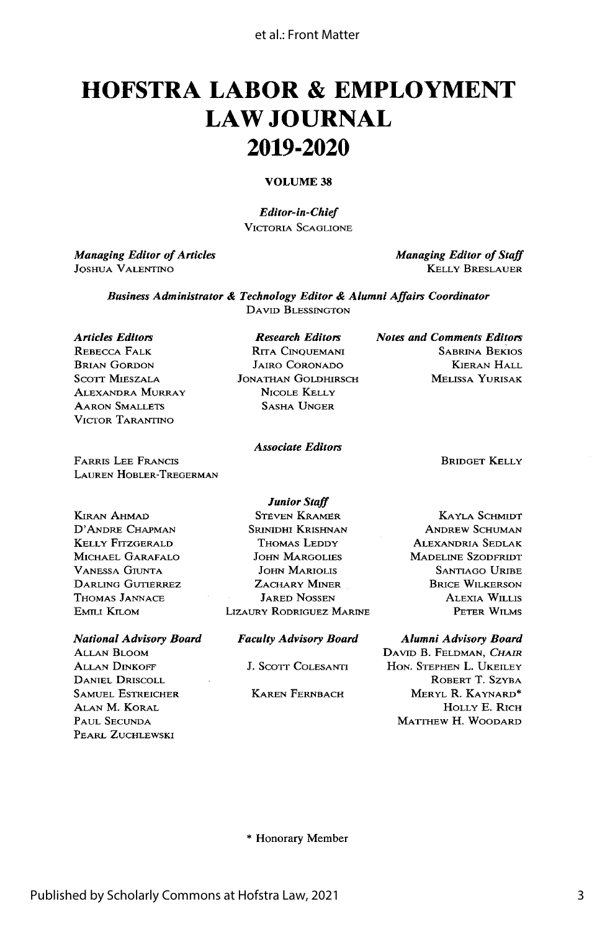# **HOFSTRA LABOR & EMPLOYMENT LAW JOURNAL 2019-2020**

### **VOLUME 38**

**Editor-in-Chief** VICTORIA SCAGLIONE

**Managing Editor of Articles** JOSHUA VALENTINO

**Managing** Editor of Staff KELLY BRESLAUER

**Notes and Comments Editors**

**Business Administrator** & **Technology Editor & Alumni Affairs Coordinator** DAVID BLESSINGTON

**Articles Editors** REBECCA FALK BRIAN GORDON SCOrr MIESZALA ALEXANDRA MURRAY AARON SMALLETS VICTOR TARANTINO

**Research Editors** RITA CINQUEMANI JAIRO CORONADO JONATHAN GOLDHIRSCH NICOLE KELLY SASHA UNGER

**Associate Editors**

BRIDGET KELLY

SABRINA BEKIOS KIERAN HALL MELISSA YURISAK

FARRIS LEE FRANCIS LAUREN HOBLER-TREGERMAN

KIRAN AHMAD D'ANDRE CHAPMAN KELLY FITZGERALD MICHAEL GARAFALO VANESSA GIUNTA DARLING GUTIERREz THOMAS JANNACE EMILI KILOM

**National Advisory Board**

ALLAN BLOOM ALLAN DINKOFF DANIEL DRISCOLL SAMUEL ESTREICHER ALAN M. KORAL PAUL SECUNDA PEARL ZUCHLEWSKI

**Junior Staff** STEVEN KRAMER **SRINIDHI** KRISHNAN THOMAS LEDDY JOHN MARGOLIES JOHN MARIOLIS ZACHARY MINER JARED NOSSEN LIZAURY RODRIGUEZ MARINE

**Faculty Advisory Board**

J. SCOrr COLESANTI

KAREN FERNBACH

KAYLA SCHMIDT ANDREW SCHUMAN ALEXANDRIA SEDLAK MADELINE SZODFRIDT SANTIAGO URIBE BRICE WILKERSON ALEXIA WILLIS PETER WILMS

**Alumni Advisory Board** DAVID B. FELDMAN, *CHAIR* HON. STEPHEN L. UKEILEY ROBERT T. SZYBA MERYL R. KAYNARD\* HOLLY E. RICH MATTHEw H. WOODARD

**\* Honorary Member**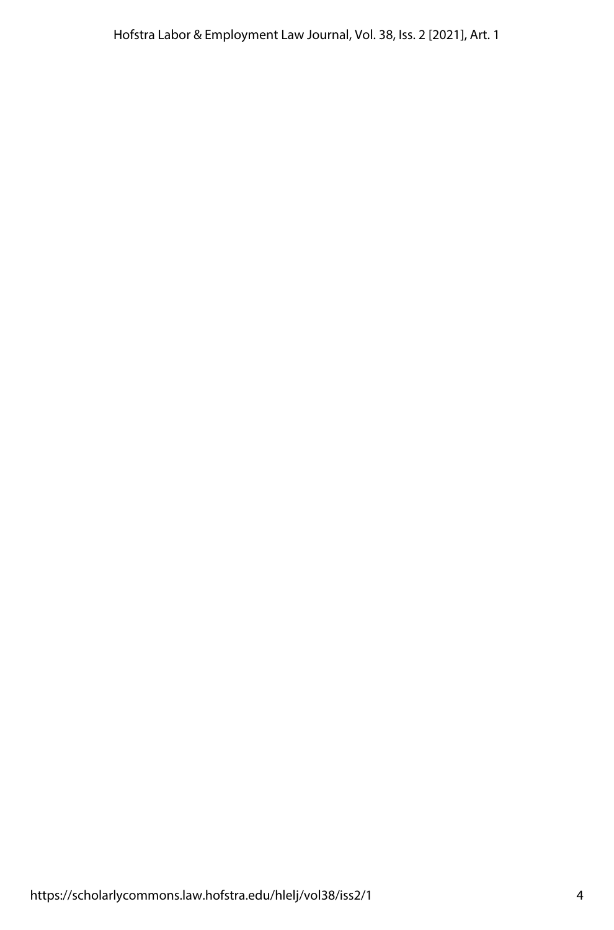Hofstra Labor & Employment Law Journal, Vol. 38, Iss. 2 [2021], Art. 1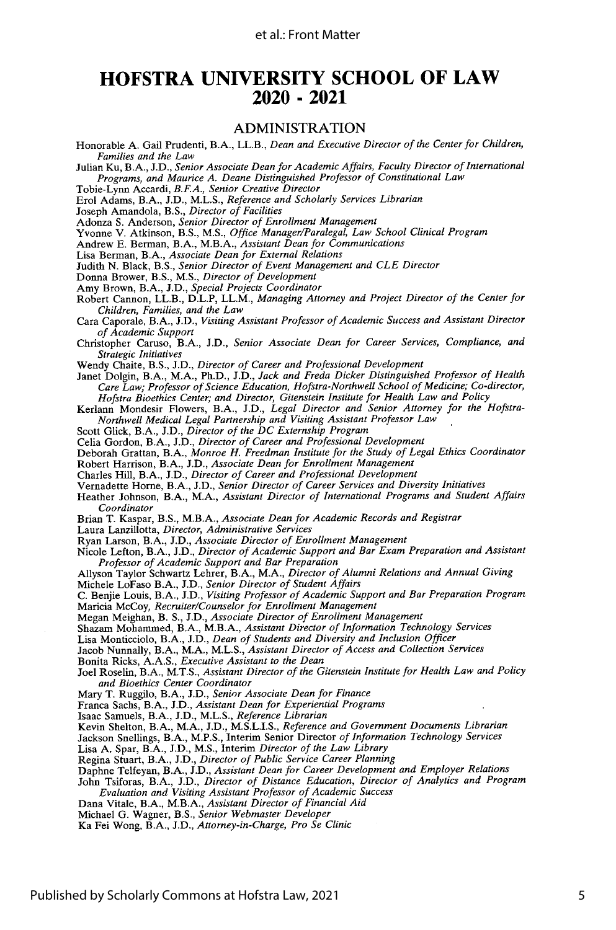### **HOFSTRA UNIVERSITY SCHOOL OF LAW 2020** - **2021**

#### ADMINISTRATION

Honorable A. Gail Prudenti, B.A., **LL.B.,** *Dean and Executive Director of the Center for Children, Families and the Law*

Julian Ku, B.A., J.D., *Senior Associate Dean for Academic Affairs, Faculty Director of International Programs, and Maurice A. Deane Distinguished Professor of Constitutional Law*

Tobie-Lynn Accardi, *B.F.A., Senior Creative Director*

Erol Adams, B.A., J.D., M.L.S., *Reference and Scholarly Services Librarian* Joseph Amandola, B.S., *Director of Facilities*

Adonza S. Anderson, *Senior Director of Enrollment Management*

Yvonne V. Atkinson, B.S., M.S., *Office Manager/Paralegal, Law School Clinical Program*

Andrew E. **Berman,** B.A., M.B.A., *Assistant Dean for Communications*

Lisa Berman, B.A., *Associate Dean for External Relations*

Judith N. Black, B.S., *Senior Director of Event Management and CLE Director*

Donna Brower, B.S., M.S., *Director of Development*

Amy Brown, B.A., J.D., *Special Projects Coordinator* Robert Cannon, LL.B., D.L.P, **LL.M.,** *Managing Attorney and Project Director of the Center for*

*Children, Families, and the Law* Cara Caporale, B.A., J.D., *Visiting Assistant Professor of Academic Success and Assistant Director of Academic Support*

Christopher *Caruso,* B.A., J.D., *Senior Associate Dean for Career Services, Compliance, and Strategic Initiatives*

Wendy Chaite, B.S., J.D., *Director of Career and Professional Development*

**Janet** Dolgin, B.A., M.A., Ph.D., J.D., *Jack and Freda Dicker Distinguished Professor of Health Care Law; Professor of Science Education, Hofstra-Northwell School of Medicine; Co-director, Hofstra Bioethics Center; and Director, Gitenstein Institute for Health Law and Policy*

**Kerlann** Mondesir Flowers, B.A., J.D., *Legal Director and Senior Attorney for the Hofstra-Northwell Medical Legal Partnership and Visiting Assistant Professor Law*

Scott Glick, B.A., J.D., *Director of the DC Externship Program*

Celia Gordon, B.A., J.D., *Director of Career and Professional Development*

Deborah Grattan, B.A., *Monroe H. Freedman Institute for the Study of Legal Ethics Coordinator* Robert Harrison, B.A., J.D., *Associate Dean for Enrollment Management*

Charles Hill, B.A., J.D., *Director of Career and Professional Development*

Vernadette Horne, B.A., J.D., *Senior Director of Career Services and Diversity Initiatives*

- Heather Johnson, B.A., M.A., *Assistant Director of International Programs and Student Affairs Coordinator*
- Brian T. Kaspar, **B.S., M.B.A.,** *Associate Dean for Academic Records and Registrar*
- Laura Lanzillotta, *Director, Administrative Services*

Ryan Larson, B.A., J.D., *Associate Director of Enrollment Management*

Nicole Lefton, B.A., J.D., *Director of Academic Support and Bar Exam Preparation and Assistant Professor of Academic Support and Bar Preparation*

Allyson Taylor Schwartz Lehrer, B.A., M.A., *Director of Alumni Relations and Annual Giving*

Michele LoFaso B.A., J.D., Senior Director of Student Åffairs<br>C. Benjie Louis, B.A., J.D., Visiting Professor of Academic Support and Bar Preparation Program<br>Maricia McCoy, Recruiter/Counselor for Enrollment Management

**Megan** Meighan, B. S., J.D., *Associate Director of Enrollment Management*

Shazam Mohammed, B.A., M.B.A., *Assistant Director of Information Technology Services*

Lisa Monticciolo, B.A., J.D., *Dean of Students and Diversity and Inclusion Officer*

Jacob Nunnally, B.A., M.A., M.L.S., *Assistant Director of Access and Collection Services*

**Bonita** Ricks, A.A.S., *Executive Assistant to the Dean*

Joel Roselin, B.A., M.T.S., *Assistant Director of the Gitenstein Institute for Health Law and Policy and Bioethics Center Coordinator*

Mary T. Ruggilo, B.A., J.D., *Senior Associate Dean for Finance*

Franca Sachs, B.A., J.D., *Assistant Dean for Experiential Programs*

**Isaac Samuels,** B.A., J.D., M.L.S., *Reference Librarian*

Kevin Shelton, B.A., M.A., J.D., M.S.L.I.S., *Reference and Government Documents Librarian*

Jackson Snellings, B.A., M.P.S., Interim **Senior** Director *of Information Technology Services* Lisa A. Spar, B.A., J.D., M.S., Interim *Director of the Law Library*

Regina Stuart, B.A., J.D., *Director of Public Service Career Planning* Daphne Telfeyan, B.A., J.D., *Assistant Dean for Career Development and Employer Relations*

John Tsiforas, B.A., J.D., *Director of Distance Education, Director of Analytics and Program Evaluation and Visiting Assistant Professor of Academic Success*

Dana Vitale, B.A., M.B.A., *Assistant Director of Financial Aid*

Michael G. Wagner, **B.S.,** *Senior Webmaster Developer*

Ka Fei Wong, B.A., J.D., *Attorney-in-Charge, Pro Se Clinic*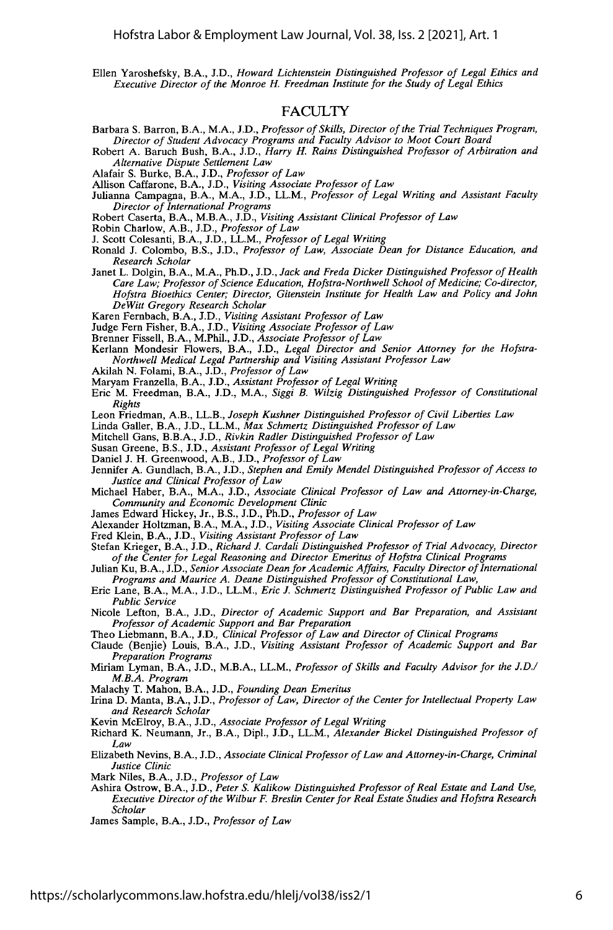Ellen Yaroshefsky, B.A., J.D., *Howard Lichtenstein Distinguished Professor of Legal Ethics and Executive Director of the Monroe H. Freedman Institute for the Study of Legal Ethics*

#### FACULTY

Barbara S. Barron, B.A., M.A., J.D., *Professor of Skills, Director of the Trial Techniques Program, Director of Student Advocacy Programs and Faculty Advisor to Moot Court Board*

Robert A. Baruch Bush, B.A., J.D., *Harry H. Rains Distinguished Professor of Arbitration and Alternative Dispute Settlement Law*

Alafair S. Burke, B.A., J.D., *Professor of Law*

Allison Caffarone, B.A., J.D., *Visiting Associate Professor of Law*

Julianna Campagna, B.A., M.A., J.D., LL.M., *Professor of Legal Writing and Assistant Faculty Director of International Programs*

Robert Caserta, B.A., M.B.A., J.D., *Visiting Assistant Clinical Professor of Law*

Robin Charlow, A.B., J.D., *Professor of Law*

J. Scott Colesanti, B.A., J.D., LL.M., *Professor of Legal Writing*

- Ronald *J.* Colombo, B.S., J.D., *Professor of Law, Associate Dean for Distance Education, and Research Scholar*
- Janet L. Dolgin, B.A., M.A., Ph.D., J.D., *Jack and Freda Dicker Distinguished Professor of Health Care Law; Professor of Science Education, Hofstra-Northwell School of Medicine; Co-director, Hofstra Bioethics Center; Director, Gitenstein Institute for Health Law and Policy and John DeWitt Gregory Research Scholar*

Karen Fernbach, B.A., J.D., *Visiting Assistant Professor of Law*

Judge Fern Fisher, B.A., J.D., *Visiting Associate Professor of Law*

Brenner Fissell, B.A., M.Phil., J.D., *Associate Professor of Law*

- Kerlann Mondesir Flowers, B.A., J.D., *Legal Director and Senior Attorney for the Hofstra-Northwell Medical Legal Partnership and Visiting Assistant Professor Law*
- Akilah N. Folami, B.A., J.D., *Professor of Law*

Maryam Franzella, B.A., J.D., *Assistant Professor of Legal Writing*

Eric M. Freedman, B.A., J.D., M.A., *Siggi B. Wilzig Distinguished Professor of Constitutional Rights*

Leon Friedman, A.B., LL.B., *Joseph Kushner Distinguished Professor of Civil Liberties Law*

Linda Galler, B.A., J.D., LL.M., *Max Schmertz Distinguished Professor of Law*

Mitchell Gans, B.B.A., J.D., *Rivkin Radler Distinguished Professor of Law*

Susan Greene, B.S., J.D., *Assistant Professor of Legal Writing*

Daniel J. H. Greenwood, A.B., J.D., *Professor of Law*

Jennifer A. Gundlach, B.A., J.D., *Stephen and Emily Mendel Distinguished Professor of Access to Justice and Clinical Professor of Law*

Michael Haber, B.A., M.A., J.D., *Associate Clinical Professor of Law and Attorney-in-Charge, Community and Economic Development Clinic*

James Edward Hickey, Jr., B.S., J.D., Ph.D., *Professor of Law*

Alexander Holtzman, B.A., M.A., J.D., *Visiting Associate Clinical Professor of Law*

Fred Klein, B.A., J.D., *Visiting Assistant Professor of Law*

Stefan Krieger, B.A., J.D., *Richard J. Cardali Distinguished Professor of Trial Advocacy, Director of the Center for Legal Reasoning and Director Emeritus of Hofstra Clinical Programs*

Julian Ku, B.A., J.D., *Senior Associate Dean for Academic Affairs, Faculty Director of International Programs and Maurice A. Deane Distinguished Professor of Constitutional Law,*

Eric Lane, B.A., M.A., J.D., LL.M., *Eric J. Schmertz Distinguished Professor of Public Law and Public Service*

Nicole Lefton, B.A., J.D., *Director of Academic Support and Bar Preparation, and Assistant Professor of Academic Support and Bar Preparation*

Theo Liebmann, B.A., J.D., *Clinical Professor of Law and Director of Clinical Programs*

Claude (Benjie) Louis, B.A., J.D., *Visiting Assistant Professor of Academic Support and Bar Preparation Programs*

Miriam Lyman, B.A., J.D., M.B.A., LL.M., *Professor of Skills and Faculty Advisor for the J.D./ M.B.A. Program*

Malachy T. Mahon, B.A., J.D., *Founding Dean Emeritus*

Irina D. Manta, B.A., J.D., *Professor of Law, Director of the Center for Intellectual Property Law and Research Scholar*

Kevin McElroy, B.A., J.D., *Associate Professor of Legal Writing*

Richard K. Neumann, Jr., B.A., Dipl., J.D., LL.M., *Alexander Bickel Distinguished Professor of Law*

Elizabeth Nevins, B.A., J.D., *Associate Clinical Professor of Law and Attorney-in-Charge, Criminal Justice Clinic*

Mark Niles, B.A., J.D., *Professor of Law*

Ashira Ostrow, B.A., J.D., *Peter S. Kalikow Distinguished Professor of Real Estate and Land Use, Executive Director of the Wilbur F. Breslin Center for Real Estate Studies and Hofstra Research Scholar*

James Sample, B.A., J.D., *Professor of Law*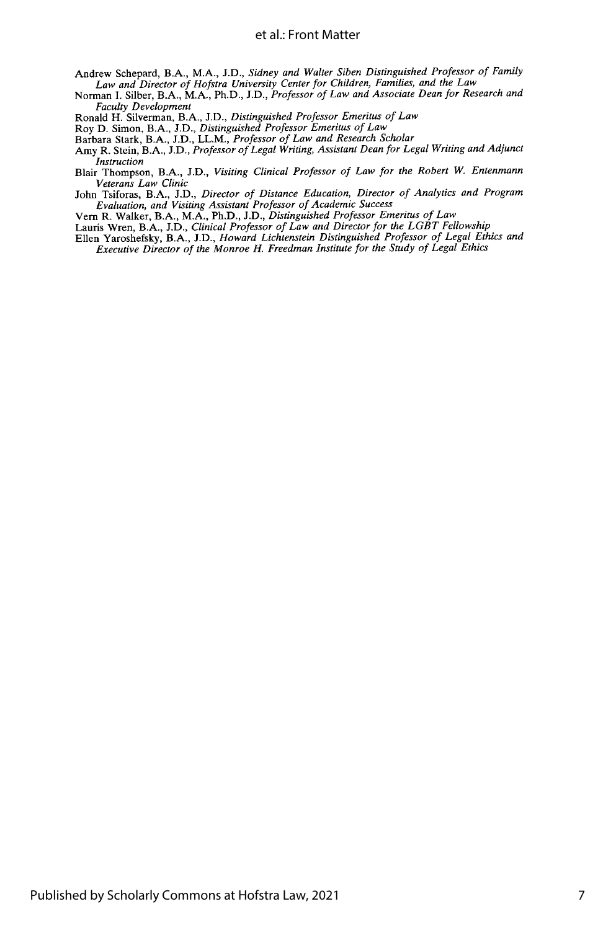Andrew Schepard, B.A., M.A., J.D., *Sidney and Walter Siben Distinguished Professor of Family Law and Director of Hofstra University Center for Children, Families, and the Law*

Norman **I. Silber,** B.A., M.A., Ph.D., J.D., *Professor of Law and Associate Dean for Research and Faculty Development*

**Ronald H. Silverman,** B.A., J.D., *Distinguished Professor Emeritus of Law*

Roy D. **Simon,** B.A., J.D., *Distinguished Professor Emeritus of Law*

**Barbara Stark,** B.A., J.D., LL.M., *Professor of Law and Research Scholar*

Amy R. **Stein,** B.A., J.D., *Professor of Legal Writing, Assistant Dean for Legal Writing and Adjunct Instruction*

**Blair Thompson,** B.A., J.D., *Visiting Clinical Professor of Law for the Robert W. Entenmann Veterans Law Clinic*

John Tsiforas, B.A., J.D., *Director of Distance Education, Director of Analytics and Program Evaluation, and Visiting Assistant Professor of Academic Success*

Ven R. Walker, B.A., M.A., Ph.D., **J.D.,** *Distinguished Professor Emeritus of Law*

Lauris Wren, B.A., J.D., *Clinical Professor of Law and Director for the LGBT Fellowship*

Ellen Yaroshefsky, B.A., J.D., *Howard Lichtenstein Distinguished Professor of Legal Ethics and Executive Director of the Monroe H. Freedman Institute for the Study of Legal Ethics*